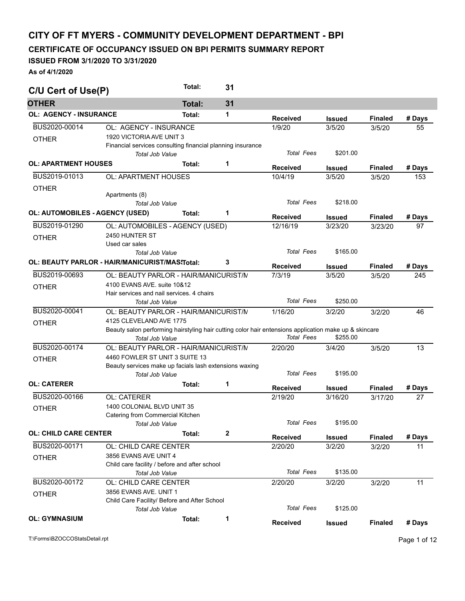## **CITY OF FT MYERS - COMMUNITY DEVELOPMENT DEPARTMENT - BPI**

**CERTIFICATE OF OCCUPANCY ISSUED ON BPI PERMITS SUMMARY REPORT** 

## **ISSUED FROM 3/1/2020 TO 3/31/2020**

**As of 4/1/2020** 

| C/U Cert of Use(P)                     |                                                                                                                                 | Total:        | 31 |                   |               |                |        |
|----------------------------------------|---------------------------------------------------------------------------------------------------------------------------------|---------------|----|-------------------|---------------|----------------|--------|
| <b>OTHER</b>                           |                                                                                                                                 | <b>Total:</b> | 31 |                   |               |                |        |
| <b>OL: AGENCY - INSURANCE</b>          |                                                                                                                                 | Total:        | 1  | <b>Received</b>   | <b>Issued</b> | <b>Finaled</b> | # Days |
| BUS2020-00014                          | OL: AGENCY - INSURANCE                                                                                                          |               |    | 1/9/20            | 3/5/20        | 3/5/20         | 55     |
| <b>OTHER</b>                           | 1920 VICTORIA AVE UNIT 3                                                                                                        |               |    |                   |               |                |        |
|                                        | Financial services consulting financial planning insurance                                                                      |               |    |                   |               |                |        |
|                                        | Total Job Value                                                                                                                 |               |    | <b>Total Fees</b> | \$201.00      |                |        |
| <b>OL: APARTMENT HOUSES</b>            |                                                                                                                                 | Total:        | 1  | <b>Received</b>   | Issued        | <b>Finaled</b> | # Days |
| BUS2019-01013                          | <b>OL: APARTMENT HOUSES</b>                                                                                                     |               |    | 10/4/19           | 3/5/20        | 3/5/20         | 153    |
| <b>OTHER</b>                           |                                                                                                                                 |               |    |                   |               |                |        |
|                                        | Apartments (8)                                                                                                                  |               |    |                   |               |                |        |
|                                        | Total Job Value                                                                                                                 |               |    | <b>Total Fees</b> | \$218.00      |                |        |
| <b>OL: AUTOMOBILES - AGENCY (USED)</b> |                                                                                                                                 | Total:        | 1  | <b>Received</b>   | Issued        | <b>Finaled</b> | # Days |
| BUS2019-01290                          | OL: AUTOMOBILES - AGENCY (USED)                                                                                                 |               |    | 12/16/19          | 3/23/20       | 3/23/20        | 97     |
| <b>OTHER</b>                           | 2450 HUNTER ST                                                                                                                  |               |    |                   |               |                |        |
|                                        | Used car sales                                                                                                                  |               |    |                   |               |                |        |
|                                        | <b>Total Job Value</b>                                                                                                          |               |    | <b>Total Fees</b> | \$165.00      |                |        |
|                                        | OL: BEAUTY PARLOR - HAIR/MANICURIST/MAS\Total:                                                                                  |               | 3  | <b>Received</b>   | <b>Issued</b> | <b>Finaled</b> | # Days |
| BUS2019-00693                          | OL: BEAUTY PARLOR - HAIR/MANICURIST/N                                                                                           |               |    | 7/3/19            | 3/5/20        | 3/5/20         | 245    |
|                                        | 4100 EVANS AVE, suite 10&12                                                                                                     |               |    |                   |               |                |        |
| <b>OTHER</b>                           | Hair services and nail services, 4 chairs                                                                                       |               |    |                   |               |                |        |
|                                        | <b>Total Job Value</b>                                                                                                          |               |    | <b>Total Fees</b> | \$250.00      |                |        |
| BUS2020-00041                          | OL: BEAUTY PARLOR - HAIR/MANICURIST/N                                                                                           |               |    | 1/16/20           | 3/2/20        | 3/2/20         | 46     |
|                                        |                                                                                                                                 |               |    |                   |               |                |        |
| <b>OTHER</b>                           | 4125 CLEVELAND AVE 1775                                                                                                         |               |    |                   |               |                |        |
|                                        | Beauty salon performing hairstyling hair cutting color hair entensions application make up & skincare<br><b>Total Job Value</b> |               |    | <b>Total Fees</b> | \$255.00      |                |        |
| BUS2020-00174                          |                                                                                                                                 |               |    |                   |               |                |        |
|                                        | OL: BEAUTY PARLOR - HAIR/MANICURIST/N                                                                                           |               |    | 2/20/20           | 3/4/20        | 3/5/20         | 13     |
| <b>OTHER</b>                           | 4460 FOWLER ST UNIT 3 SUITE 13                                                                                                  |               |    |                   |               |                |        |
|                                        | Beauty services make up facials lash extensions waxing                                                                          |               |    | <b>Total Fees</b> | \$195.00      |                |        |
|                                        | Total Job Value                                                                                                                 |               |    |                   |               |                |        |
| <b>OL: CATERER</b>                     |                                                                                                                                 | Total:        | 1  | <b>Received</b>   | Issued        | <b>Finaled</b> | # Days |
| BUS2020-00166                          | OL: CATERER                                                                                                                     |               |    | 2/19/20           | 3/16/20       | 3/17/20        | 27     |
| <b>OTHER</b>                           | 1400 COLONIAL BLVD UNIT 35                                                                                                      |               |    |                   |               |                |        |
|                                        | Catering from Commercial Kitchen                                                                                                |               |    |                   |               |                |        |
|                                        | Total Job Value                                                                                                                 |               |    | Total Fees        | \$195.00      |                |        |
| <b>OL: CHILD CARE CENTER</b>           |                                                                                                                                 | Total:        | 2  | <b>Received</b>   | <b>Issued</b> | <b>Finaled</b> | # Days |
| BUS2020-00171                          | OL: CHILD CARE CENTER                                                                                                           |               |    | 2/20/20           | 3/2/20        | 3/2/20         | 11     |
| <b>OTHER</b>                           | 3856 EVANS AVE UNIT 4                                                                                                           |               |    |                   |               |                |        |
|                                        | Child care facility / before and after school                                                                                   |               |    |                   |               |                |        |
|                                        | Total Job Value                                                                                                                 |               |    | <b>Total Fees</b> | \$135.00      |                |        |
| BUS2020-00172                          | OL: CHILD CARE CENTER                                                                                                           |               |    | 2/20/20           | 3/2/20        | 3/2/20         | 11     |
|                                        | 3856 EVANS AVE, UNIT 1                                                                                                          |               |    |                   |               |                |        |
| <b>OTHER</b>                           | Child Care Facility/ Before and After School                                                                                    |               |    |                   |               |                |        |
|                                        | Total Job Value                                                                                                                 |               |    | <b>Total Fees</b> | \$125.00      |                |        |
| <b>OL: GYMNASIUM</b>                   |                                                                                                                                 | Total:        | 1  |                   |               |                |        |
|                                        |                                                                                                                                 |               |    | <b>Received</b>   | <b>Issued</b> | <b>Finaled</b> | # Days |

T:\Forms\BZOCCOStatsDetail.rpt Page 1 of 12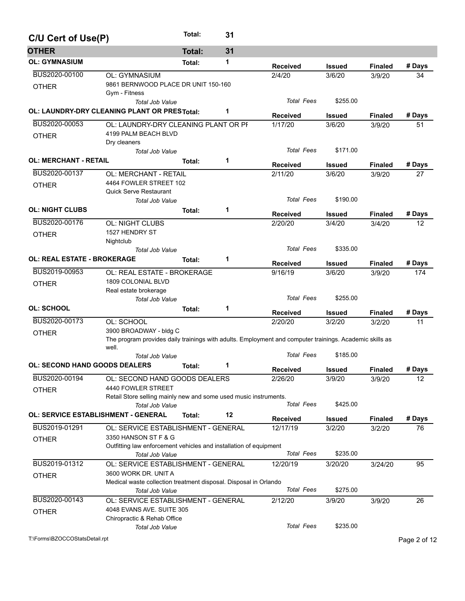| C/U Cert of Use(P)                   |                                                                                                         | Total:        | 31 |                   |                         |                |              |
|--------------------------------------|---------------------------------------------------------------------------------------------------------|---------------|----|-------------------|-------------------------|----------------|--------------|
| <b>OTHER</b>                         |                                                                                                         | <b>Total:</b> | 31 |                   |                         |                |              |
| <b>OL: GYMNASIUM</b>                 |                                                                                                         | Total:        | 1  | <b>Received</b>   |                         | <b>Finaled</b> | # Days       |
| BUS2020-00100                        | <b>OL: GYMNASIUM</b>                                                                                    |               |    | 2/4/20            | <b>Issued</b><br>3/6/20 | 3/9/20         | 34           |
| <b>OTHER</b>                         | 9861 BERNWOOD PLACE DR UNIT 150-160                                                                     |               |    |                   |                         |                |              |
|                                      | Gym - Fitness                                                                                           |               |    |                   |                         |                |              |
|                                      | Total Job Value                                                                                         |               |    | <b>Total Fees</b> | \$255.00                |                |              |
|                                      | OL: LAUNDRY-DRY CLEANING PLANT OR PRESTotal:                                                            |               | 1  | <b>Received</b>   | <b>Issued</b>           | <b>Finaled</b> | # Days       |
| BUS2020-00053                        | OL: LAUNDRY-DRY CLEANING PLANT OR PF                                                                    |               |    | 1/17/20           | 3/6/20                  | 3/9/20         | 51           |
| <b>OTHER</b>                         | 4199 PALM BEACH BLVD                                                                                    |               |    |                   |                         |                |              |
|                                      | Dry cleaners                                                                                            |               |    |                   |                         |                |              |
|                                      | Total Job Value                                                                                         |               |    | <b>Total Fees</b> | \$171.00                |                |              |
| <b>OL: MERCHANT - RETAIL</b>         |                                                                                                         | Total:        | 1  | <b>Received</b>   | <b>Issued</b>           | <b>Finaled</b> | # Days       |
| BUS2020-00137                        | <b>OL: MERCHANT - RETAIL</b>                                                                            |               |    | 2/11/20           | 3/6/20                  | 3/9/20         | 27           |
| <b>OTHER</b>                         | 4464 FOWLER STREET 102                                                                                  |               |    |                   |                         |                |              |
|                                      | <b>Quick Serve Restaurant</b>                                                                           |               |    |                   |                         |                |              |
|                                      | Total Job Value                                                                                         |               |    | <b>Total Fees</b> | \$190.00                |                |              |
| <b>OL: NIGHT CLUBS</b>               |                                                                                                         | Total:        | 1  | <b>Received</b>   | <b>Issued</b>           | <b>Finaled</b> | # Days       |
| BUS2020-00176                        | OL: NIGHT CLUBS                                                                                         |               |    | 2/20/20           | 3/4/20                  | 3/4/20         | 12.          |
| <b>OTHER</b>                         | 1527 HENDRY ST                                                                                          |               |    |                   |                         |                |              |
|                                      | Nightclub                                                                                               |               |    |                   |                         |                |              |
|                                      | <b>Total Job Value</b>                                                                                  |               |    | <b>Total Fees</b> | \$335.00                |                |              |
| <b>OL: REAL ESTATE - BROKERAGE</b>   |                                                                                                         | Total:        | 1  | <b>Received</b>   | <b>Issued</b>           | <b>Finaled</b> | # Days       |
| BUS2019-00953                        | OL: REAL ESTATE - BROKERAGE                                                                             |               |    | 9/16/19           | 3/6/20                  | 3/9/20         | 174          |
| <b>OTHER</b>                         | 1809 COLONIAL BLVD                                                                                      |               |    |                   |                         |                |              |
|                                      | Real estate brokerage                                                                                   |               |    |                   |                         |                |              |
|                                      | <b>Total Job Value</b>                                                                                  |               |    | <b>Total Fees</b> | \$255.00                |                |              |
| <b>OL: SCHOOL</b>                    |                                                                                                         | Total:        | 1  | <b>Received</b>   | <b>Issued</b>           | <b>Finaled</b> | # Days       |
| BUS2020-00173                        | OL: SCHOOL                                                                                              |               |    | 2/20/20           | 3/2/20                  | 3/2/20         | 11           |
| <b>OTHER</b>                         | 3900 BROADWAY - bldg C                                                                                  |               |    |                   |                         |                |              |
|                                      | The program provides daily trainings with adults. Employment and computer trainings. Academic skills as |               |    |                   |                         |                |              |
|                                      | well.                                                                                                   |               |    |                   |                         |                |              |
|                                      | <b>Total Job Value</b>                                                                                  |               |    | <b>Total Fees</b> | \$185.00                |                |              |
| <b>OL: SECOND HAND GOODS DEALERS</b> |                                                                                                         | Total:        | 1  | Received          | <b>Issued</b>           | <b>Finaled</b> | # Days       |
| BUS2020-00194                        | OL: SECOND HAND GOODS DEALERS                                                                           |               |    | 2/26/20           | 3/9/20                  | 3/9/20         | 12           |
| <b>OTHER</b>                         | 4440 FOWLER STREET                                                                                      |               |    |                   |                         |                |              |
|                                      | Retail Store selling mainly new and some used music instruments.                                        |               |    |                   |                         |                |              |
|                                      | Total Job Value                                                                                         |               |    | <b>Total Fees</b> | \$425.00                |                |              |
|                                      | <b>OL: SERVICE ESTABLISHMENT - GENERAL</b>                                                              | Total:        | 12 | <b>Received</b>   | <b>Issued</b>           | <b>Finaled</b> | # Days       |
| BUS2019-01291                        | OL: SERVICE ESTABLISHMENT - GENERAL                                                                     |               |    | 12/17/19          | 3/2/20                  | 3/2/20         | 76           |
| <b>OTHER</b>                         | 3350 HANSON ST F & G                                                                                    |               |    |                   |                         |                |              |
|                                      | Outfitting law enforcement vehicles and installation of equipment                                       |               |    |                   |                         |                |              |
|                                      | Total Job Value                                                                                         |               |    | <b>Total Fees</b> | \$235.00                |                |              |
| BUS2019-01312                        | OL: SERVICE ESTABLISHMENT - GENERAL                                                                     |               |    | 12/20/19          | 3/20/20                 | 3/24/20        | 95           |
| <b>OTHER</b>                         | 3600 WORK DR. UNIT A                                                                                    |               |    |                   |                         |                |              |
|                                      | Medical waste collection treatment disposal. Disposal in Orlando                                        |               |    | <b>Total Fees</b> | \$275.00                |                |              |
| BUS2020-00143                        | <b>Total Job Value</b>                                                                                  |               |    |                   |                         |                |              |
|                                      | OL: SERVICE ESTABLISHMENT - GENERAL<br>4048 EVANS AVE. SUITE 305                                        |               |    | 2/12/20           | 3/9/20                  | 3/9/20         | 26           |
| <b>OTHER</b>                         | Chiropractic & Rehab Office                                                                             |               |    |                   |                         |                |              |
|                                      | Total Job Value                                                                                         |               |    | <b>Total Fees</b> | \$235.00                |                |              |
| T:\Forms\BZOCCOStatsDetail.rpt       |                                                                                                         |               |    |                   |                         |                |              |
|                                      |                                                                                                         |               |    |                   |                         |                | Page 2 of 12 |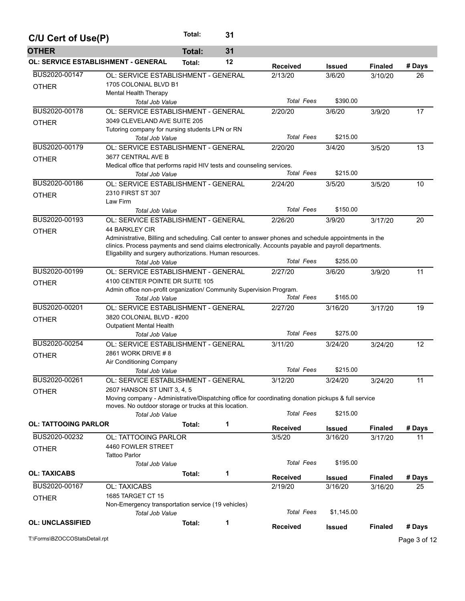| C/U Cert of Use(P)                         |                                                                                                                                                                                                              | Total:        | 31 |                   |               |                |              |
|--------------------------------------------|--------------------------------------------------------------------------------------------------------------------------------------------------------------------------------------------------------------|---------------|----|-------------------|---------------|----------------|--------------|
| <b>OTHER</b>                               |                                                                                                                                                                                                              | <b>Total:</b> | 31 |                   |               |                |              |
| <b>OL: SERVICE ESTABLISHMENT - GENERAL</b> |                                                                                                                                                                                                              | Total:        | 12 | <b>Received</b>   | <b>Issued</b> | <b>Finaled</b> | # Days       |
| BUS2020-00147                              | OL: SERVICE ESTABLISHMENT - GENERAL                                                                                                                                                                          |               |    | 2/13/20           | 3/6/20        | 3/10/20        | 26           |
| <b>OTHER</b>                               | 1705 COLONIAL BLVD B1                                                                                                                                                                                        |               |    |                   |               |                |              |
|                                            | Mental Health Therapy                                                                                                                                                                                        |               |    |                   |               |                |              |
|                                            | <b>Total Job Value</b>                                                                                                                                                                                       |               |    | <b>Total Fees</b> | \$390.00      |                |              |
| BUS2020-00178                              | OL: SERVICE ESTABLISHMENT - GENERAL                                                                                                                                                                          |               |    | 2/20/20           | 3/6/20        | 3/9/20         | 17           |
| <b>OTHER</b>                               | 3049 CLEVELAND AVE SUITE 205                                                                                                                                                                                 |               |    |                   |               |                |              |
|                                            | Tutoring company for nursing students LPN or RN<br><b>Total Job Value</b>                                                                                                                                    |               |    | <b>Total Fees</b> | \$215.00      |                |              |
| BUS2020-00179                              | OL: SERVICE ESTABLISHMENT - GENERAL                                                                                                                                                                          |               |    | 2/20/20           | 3/4/20        | 3/5/20         | 13           |
|                                            | 3677 CENTRAL AVE B                                                                                                                                                                                           |               |    |                   |               |                |              |
| <b>OTHER</b>                               | Medical office that performs rapid HIV tests and counseling services.                                                                                                                                        |               |    |                   |               |                |              |
|                                            | <b>Total Job Value</b>                                                                                                                                                                                       |               |    | <b>Total Fees</b> | \$215.00      |                |              |
| BUS2020-00186                              | OL: SERVICE ESTABLISHMENT - GENERAL                                                                                                                                                                          |               |    | 2/24/20           | 3/5/20        | 3/5/20         | 10           |
| <b>OTHER</b>                               | 2310 FIRST ST 307                                                                                                                                                                                            |               |    |                   |               |                |              |
|                                            | Law Firm                                                                                                                                                                                                     |               |    |                   |               |                |              |
|                                            | <b>Total Job Value</b>                                                                                                                                                                                       |               |    | <b>Total Fees</b> | \$150.00      |                |              |
| BUS2020-00193                              | OL: SERVICE ESTABLISHMENT - GENERAL                                                                                                                                                                          |               |    | 2/26/20           | 3/9/20        | 3/17/20        | 20           |
| <b>OTHER</b>                               | <b>44 BARKLEY CIR</b>                                                                                                                                                                                        |               |    |                   |               |                |              |
|                                            | Administrative, Billing and scheduling. Call center to answer phones and schedule appointments in the<br>clinics. Process payments and send claims electronically. Accounts payable and payroll departments. |               |    |                   |               |                |              |
|                                            | Eligability and surgery authorizations. Human resources.                                                                                                                                                     |               |    |                   |               |                |              |
|                                            | <b>Total Job Value</b>                                                                                                                                                                                       |               |    | <b>Total Fees</b> | \$255.00      |                |              |
| BUS2020-00199                              | OL: SERVICE ESTABLISHMENT - GENERAL                                                                                                                                                                          |               |    | 2/27/20           | 3/6/20        | 3/9/20         | 11           |
| <b>OTHER</b>                               | 4100 CENTER POINTE DR SUITE 105                                                                                                                                                                              |               |    |                   |               |                |              |
|                                            | Admin office non-profit organization/ Community Supervision Program.                                                                                                                                         |               |    |                   |               |                |              |
|                                            | Total Job Value                                                                                                                                                                                              |               |    | <b>Total Fees</b> | \$165.00      |                |              |
| BUS2020-00201                              | OL: SERVICE ESTABLISHMENT - GENERAL                                                                                                                                                                          |               |    | 2/27/20           | 3/16/20       | 3/17/20        | 19           |
| <b>OTHER</b>                               | 3820 COLONIAL BLVD - #200                                                                                                                                                                                    |               |    |                   |               |                |              |
|                                            | <b>Outpatient Mental Health</b>                                                                                                                                                                              |               |    | <b>Total Fees</b> | \$275.00      |                |              |
| BUS2020-00254                              | <b>Total Job Value</b>                                                                                                                                                                                       |               |    | 3/11/20           |               |                |              |
|                                            | OL: SERVICE ESTABLISHMENT - GENERAL<br>2861 WORK DRIVE #8                                                                                                                                                    |               |    |                   | 3/24/20       | 3/24/20        | 12           |
| <b>OTHER</b>                               | Air Conditioning Company                                                                                                                                                                                     |               |    |                   |               |                |              |
|                                            | Total Job Value                                                                                                                                                                                              |               |    | <b>Total Fees</b> | \$215.00      |                |              |
| BUS2020-00261                              | OL: SERVICE ESTABLISHMENT - GENERAL                                                                                                                                                                          |               |    | 3/12/20           | 3/24/20       | 3/24/20        | 11           |
| <b>OTHER</b>                               | 2607 HANSON ST UNIT 3, 4, 5                                                                                                                                                                                  |               |    |                   |               |                |              |
|                                            | Moving company - Administrative/Dispatching office for coordinating donation pickups & full service                                                                                                          |               |    |                   |               |                |              |
|                                            | moves. No outdoor storage or trucks at this location.                                                                                                                                                        |               |    |                   |               |                |              |
|                                            | Total Job Value                                                                                                                                                                                              |               |    | <b>Total Fees</b> | \$215.00      |                |              |
| <b>OL: TATTOOING PARLOR</b>                |                                                                                                                                                                                                              | Total:        | 1  | <b>Received</b>   | <b>Issued</b> | <b>Finaled</b> | # Days       |
| BUS2020-00232                              | OL: TATTOOING PARLOR                                                                                                                                                                                         |               |    | 3/5/20            | 3/16/20       | 3/17/20        | 11           |
| <b>OTHER</b>                               | 4460 FOWLER STREET                                                                                                                                                                                           |               |    |                   |               |                |              |
|                                            | <b>Tattoo Parlor</b>                                                                                                                                                                                         |               |    |                   |               |                |              |
|                                            | <b>Total Job Value</b>                                                                                                                                                                                       |               |    | <b>Total Fees</b> | \$195.00      |                |              |
| <b>OL: TAXICABS</b>                        |                                                                                                                                                                                                              | Total:        | 1  | <b>Received</b>   | <b>Issued</b> | <b>Finaled</b> | # Days       |
| BUS2020-00167                              | <b>OL: TAXICABS</b>                                                                                                                                                                                          |               |    | 2/19/20           | 3/16/20       | 3/16/20        | 25           |
| <b>OTHER</b>                               | 1685 TARGET CT 15                                                                                                                                                                                            |               |    |                   |               |                |              |
|                                            | Non-Emergency transportation service (19 vehicles)                                                                                                                                                           |               |    |                   |               |                |              |
|                                            | Total Job Value                                                                                                                                                                                              |               |    | <b>Total Fees</b> | \$1,145.00    |                |              |
| <b>OL: UNCLASSIFIED</b>                    |                                                                                                                                                                                                              | Total:        | 1  | <b>Received</b>   | <b>Issued</b> | <b>Finaled</b> | # Days       |
| T:\Forms\BZOCCOStatsDetail.rpt             |                                                                                                                                                                                                              |               |    |                   |               |                | Page 3 of 12 |
|                                            |                                                                                                                                                                                                              |               |    |                   |               |                |              |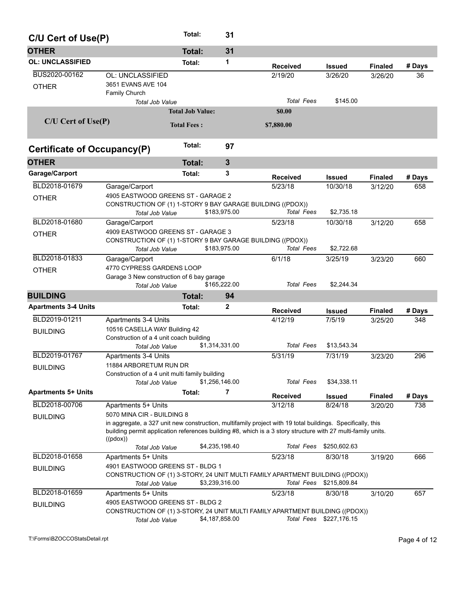| C/U Cert of Use(P)            |                                                                                                                                                                                                                                                                                         | Total:                  | 31             |                            |                          |                           |        |
|-------------------------------|-----------------------------------------------------------------------------------------------------------------------------------------------------------------------------------------------------------------------------------------------------------------------------------------|-------------------------|----------------|----------------------------|--------------------------|---------------------------|--------|
| <b>OTHER</b>                  |                                                                                                                                                                                                                                                                                         | <b>Total:</b>           | 31             |                            |                          |                           |        |
| <b>OL: UNCLASSIFIED</b>       |                                                                                                                                                                                                                                                                                         | Total:                  | 1              |                            |                          |                           | # Days |
| BUS2020-00162<br><b>OTHER</b> | OL: UNCLASSIFIED<br>3651 EVANS AVE 104<br>Family Church                                                                                                                                                                                                                                 |                         |                | <b>Received</b><br>2/19/20 | <b>Issued</b><br>3/26/20 | <b>Finaled</b><br>3/26/20 | 36     |
|                               | <b>Total Job Value</b>                                                                                                                                                                                                                                                                  |                         |                | <b>Total Fees</b>          | \$145.00                 |                           |        |
|                               |                                                                                                                                                                                                                                                                                         | <b>Total Job Value:</b> |                | \$0.00                     |                          |                           |        |
| $C/U$ Cert of Use $(P)$       |                                                                                                                                                                                                                                                                                         | <b>Total Fees:</b>      |                | \$7,880.00                 |                          |                           |        |
| Certificate of Occupancy(P)   |                                                                                                                                                                                                                                                                                         | Total:                  | 97             |                            |                          |                           |        |
| <b>OTHER</b>                  |                                                                                                                                                                                                                                                                                         | <b>Total:</b>           | $\mathbf{3}$   |                            |                          |                           |        |
| Garage/Carport                |                                                                                                                                                                                                                                                                                         | Total:                  | 3              | <b>Received</b>            | <b>Issued</b>            | <b>Finaled</b>            | # Days |
| BLD2018-01679                 | Garage/Carport                                                                                                                                                                                                                                                                          |                         |                | 5/23/18                    | 10/30/18                 | 3/12/20                   | 658    |
| <b>OTHER</b>                  | 4905 EASTWOOD GREENS ST - GARAGE 2<br>CONSTRUCTION OF (1) 1-STORY 9 BAY GARAGE BUILDING ((PDOX))<br><b>Total Job Value</b>                                                                                                                                                              |                         | \$183,975.00   | <b>Total Fees</b>          | \$2,735.18               |                           |        |
| BLD2018-01680                 | Garage/Carport                                                                                                                                                                                                                                                                          |                         |                | 5/23/18                    | 10/30/18                 | 3/12/20                   | 658    |
| <b>OTHER</b>                  | 4909 EASTWOOD GREENS ST - GARAGE 3<br>CONSTRUCTION OF (1) 1-STORY 9 BAY GARAGE BUILDING ((PDOX))<br><b>Total Job Value</b>                                                                                                                                                              |                         | \$183,975.00   | <b>Total Fees</b>          | \$2,722.68               |                           |        |
| BLD2018-01833                 | Garage/Carport                                                                                                                                                                                                                                                                          |                         |                | 6/1/18                     | 3/25/19                  | 3/23/20                   | 660    |
| <b>OTHER</b>                  | 4770 CYPRESS GARDENS LOOP<br>Garage 3 New construction of 6 bay garage                                                                                                                                                                                                                  |                         | \$165,222.00   | <b>Total Fees</b>          | \$2,244.34               |                           |        |
| <b>BUILDING</b>               | Total Job Value                                                                                                                                                                                                                                                                         | <b>Total:</b>           | 94             |                            |                          |                           |        |
| <b>Apartments 3-4 Units</b>   |                                                                                                                                                                                                                                                                                         | Total:                  | 2              |                            |                          |                           |        |
|                               |                                                                                                                                                                                                                                                                                         |                         |                | <b>Received</b>            | <b>Issued</b>            | <b>Finaled</b>            | # Days |
| BLD2019-01211                 | Apartments 3-4 Units<br>10516 CASELLA WAY Building 42                                                                                                                                                                                                                                   |                         |                | 4/12/19                    | 7/5/19                   | 3/25/20                   | 348    |
| <b>BUILDING</b>               | Construction of a 4 unit coach building                                                                                                                                                                                                                                                 |                         |                |                            |                          |                           |        |
|                               | <b>Total Job Value</b>                                                                                                                                                                                                                                                                  |                         | \$1,314,331.00 | <b>Total Fees</b>          | \$13,543.34              |                           |        |
| BLD2019-01767                 | Apartments 3-4 Units                                                                                                                                                                                                                                                                    |                         |                | 5/31/19                    | 7/31/19                  | 3/23/20                   | 296    |
| <b>BUILDING</b>               | 11884 ARBORETUM RUN DR<br>Construction of a 4 unit multi family building<br>Total Job Value                                                                                                                                                                                             |                         | \$1,256,146.00 | <b>Total Fees</b>          | \$34,338.11              |                           |        |
| <b>Apartments 5+ Units</b>    |                                                                                                                                                                                                                                                                                         | Total:                  | 7              | <b>Received</b>            | <b>Issued</b>            | <b>Finaled</b>            | # Days |
| BLD2018-00706                 | Apartments 5+ Units                                                                                                                                                                                                                                                                     |                         |                | 3/12/18                    | 8/24/18                  | 3/20/20                   | 738    |
| <b>BUILDING</b>               | 5070 MINA CIR - BUILDING 8<br>in aggregate, a 327 unit new construction, multifamily project with 19 total buildings. Specifically, this<br>building permit application references building #8, which is a 3 story structure with 27 multi-family units.<br>((pdox))<br>Total Job Value |                         | \$4,235,198.40 | Total Fees                 | \$250,602.63             |                           |        |
| BLD2018-01658                 | Apartments 5+ Units                                                                                                                                                                                                                                                                     |                         |                | 5/23/18                    | 8/30/18                  | 3/19/20                   | 666    |
| <b>BUILDING</b>               | 4901 EASTWOOD GREENS ST - BLDG 1<br>CONSTRUCTION OF (1) 3-STORY, 24 UNIT MULTI FAMILY APARTMENT BUILDING ((PDOX))<br>Total Job Value                                                                                                                                                    |                         | \$3,239,316.00 | Total Fees                 | \$215,809.84             |                           |        |
| BLD2018-01659                 | Apartments 5+ Units                                                                                                                                                                                                                                                                     |                         |                | 5/23/18                    | 8/30/18                  | 3/10/20                   | 657    |
| <b>BUILDING</b>               | 4905 EASTWOOD GREENS ST - BLDG 2<br>CONSTRUCTION OF (1) 3-STORY, 24 UNIT MULTI FAMILY APARTMENT BUILDING ((PDOX))<br>Total Job Value                                                                                                                                                    |                         | \$4,187,858.00 |                            | Total Fees \$227,176.15  |                           |        |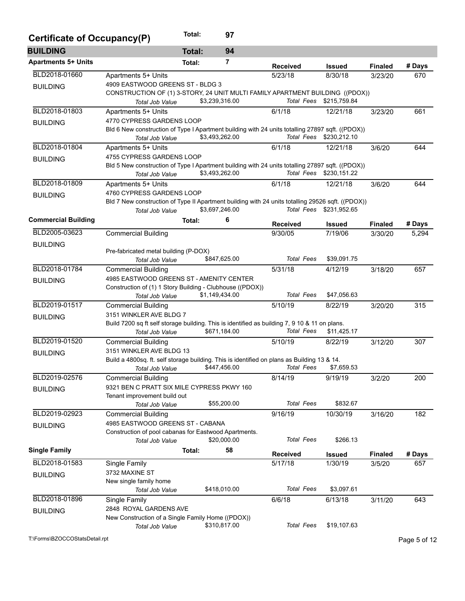| Certificate of Occupancy(P)    |                                                                                                                          | Total:        | 97             |                   |                         |                |              |
|--------------------------------|--------------------------------------------------------------------------------------------------------------------------|---------------|----------------|-------------------|-------------------------|----------------|--------------|
| <b>BUILDING</b>                |                                                                                                                          | <b>Total:</b> | 94             |                   |                         |                |              |
| <b>Apartments 5+ Units</b>     |                                                                                                                          | Total:        | 7              | <b>Received</b>   | Issued                  | <b>Finaled</b> | # Days       |
| BLD2018-01660                  | Apartments 5+ Units                                                                                                      |               |                | 5/23/18           | 8/30/18                 | 3/23/20        | 670          |
| <b>BUILDING</b>                | 4909 EASTWOOD GREENS ST - BLDG 3                                                                                         |               |                |                   |                         |                |              |
|                                | CONSTRUCTION OF (1) 3-STORY, 24 UNIT MULTI FAMILY APARTMENT BUILDING ((PDOX))                                            |               |                |                   |                         |                |              |
|                                | Total Job Value                                                                                                          |               | \$3,239,316.00 |                   | Total Fees \$215,759.84 |                |              |
| BLD2018-01803                  | Apartments 5+ Units                                                                                                      |               |                | 6/1/18            | 12/21/18                | 3/23/20        | 661          |
| <b>BUILDING</b>                | 4770 CYPRESS GARDENS LOOP                                                                                                |               |                |                   |                         |                |              |
|                                | Bld 6 New construction of Type I Apartment building with 24 units totalling 27897 sqft. ((PDOX))<br>Total Job Value      |               | \$3,493,262.00 |                   | Total Fees \$230,212.10 |                |              |
| BLD2018-01804                  | Apartments 5+ Units                                                                                                      |               |                | 6/1/18            | 12/21/18                | 3/6/20         | 644          |
|                                | 4755 CYPRESS GARDENS LOOP                                                                                                |               |                |                   |                         |                |              |
| <b>BUILDING</b>                | Bld 5 New construction of Type I Apartment building with 24 units totalling 27897 sqft. ((PDOX))                         |               |                |                   |                         |                |              |
|                                | Total Job Value                                                                                                          |               | \$3,493,262.00 |                   | Total Fees \$230,151.22 |                |              |
| BLD2018-01809                  | Apartments 5+ Units                                                                                                      |               |                | 6/1/18            | 12/21/18                | 3/6/20         | 644          |
| <b>BUILDING</b>                | 4760 CYPRESS GARDENS LOOP                                                                                                |               |                |                   |                         |                |              |
|                                | Bld 7 New construction of Type II Apartment building with 24 units totalling 29526 sqft. ((PDOX))                        |               |                |                   |                         |                |              |
|                                | Total Job Value                                                                                                          |               | \$3,697,246.00 |                   | Total Fees \$231,952.65 |                |              |
| <b>Commercial Building</b>     |                                                                                                                          | Total:        | 6              | <b>Received</b>   | Issued                  | <b>Finaled</b> | # Days       |
| BLD2005-03623                  | <b>Commercial Building</b>                                                                                               |               |                | 9/30/05           | 7/19/06                 | 3/30/20        | 5,294        |
| <b>BUILDING</b>                |                                                                                                                          |               |                |                   |                         |                |              |
|                                | Pre-fabricated metal building (P-DOX)                                                                                    |               |                |                   |                         |                |              |
|                                | Total Job Value                                                                                                          |               | \$847,625.00   | <b>Total Fees</b> | \$39,091.75             |                |              |
| BLD2018-01784                  | <b>Commercial Building</b>                                                                                               |               |                | 5/31/18           | 4/12/19                 | 3/18/20        | 657          |
| <b>BUILDING</b>                | 4985 EASTWOOD GREENS ST - AMENITY CENTER                                                                                 |               |                |                   |                         |                |              |
|                                | Construction of (1) 1 Story Building - Clubhouse ((PDOX))                                                                |               |                |                   |                         |                |              |
|                                | Total Job Value                                                                                                          |               | \$1,149,434.00 | <b>Total Fees</b> | \$47,056.63             |                |              |
| BLD2019-01517                  | <b>Commercial Building</b>                                                                                               |               |                | 5/10/19           | 8/22/19                 | 3/20/20        | 315          |
| <b>BUILDING</b>                | 3151 WINKLER AVE BLDG 7<br>Build 7200 sq ft self storage building. This is identified as building 7, 9 10 & 11 on plans. |               |                |                   |                         |                |              |
|                                | <b>Total Job Value</b>                                                                                                   |               | \$671,184.00   | <b>Total Fees</b> | \$11,425.17             |                |              |
| BLD2019-01520                  | <b>Commercial Building</b>                                                                                               |               |                | 5/10/19           | 8/22/19                 | 3/12/20        | 307          |
|                                | 3151 WINKLER AVE BLDG 13                                                                                                 |               |                |                   |                         |                |              |
| <b>BUILDING</b>                | Build a 4800sq. ft. self storage building. This is identified on plans as Building 13 & 14.                              |               |                |                   |                         |                |              |
|                                | Total Job Value                                                                                                          |               | \$447,456.00   | <b>Total Fees</b> | \$7,659.53              |                |              |
| BLD2019-02576                  | <b>Commercial Building</b>                                                                                               |               |                | 8/14/19           | 9/19/19                 | 3/2/20         | 200          |
| <b>BUILDING</b>                | 9321 BEN C PRATT SIX MILE CYPRESS PKWY 160                                                                               |               |                |                   |                         |                |              |
|                                | Tenant improvement build out                                                                                             |               |                |                   |                         |                |              |
|                                | Total Job Value                                                                                                          |               | \$55,200.00    | <b>Total Fees</b> | \$832.67                |                |              |
| BLD2019-02923                  | <b>Commercial Building</b>                                                                                               |               |                | 9/16/19           | 10/30/19                | 3/16/20        | 182          |
| <b>BUILDING</b>                | 4985 EASTWOOD GREENS ST - CABANA                                                                                         |               |                |                   |                         |                |              |
|                                | Construction of pool cabanas for Eastwood Apartments.                                                                    |               | \$20,000.00    | <b>Total Fees</b> | \$266.13                |                |              |
| <b>Single Family</b>           | Total Job Value                                                                                                          | Total:        | 58             |                   |                         |                |              |
|                                |                                                                                                                          |               |                | <b>Received</b>   | <b>Issued</b>           | <b>Finaled</b> | # Days       |
| BLD2018-01583                  | Single Family                                                                                                            |               |                | 5/17/18           | 1/30/19                 | 3/5/20         | 657          |
| <b>BUILDING</b>                | 3732 MAXINE ST                                                                                                           |               |                |                   |                         |                |              |
|                                | New single family home                                                                                                   |               | \$418,010.00   | <b>Total Fees</b> | \$3,097.61              |                |              |
| BLD2018-01896                  | <b>Total Job Value</b>                                                                                                   |               |                |                   |                         |                |              |
|                                | Single Family                                                                                                            |               |                | 6/6/18            | 6/13/18                 | 3/11/20        | 643          |
| <b>BUILDING</b>                | 2848 ROYAL GARDENS AVE<br>New Construction of a Single Family Home ((PDOX))                                              |               |                |                   |                         |                |              |
|                                | Total Job Value                                                                                                          |               | \$310,817.00   | <b>Total Fees</b> | \$19,107.63             |                |              |
|                                |                                                                                                                          |               |                |                   |                         |                |              |
| T:\Forms\BZOCCOStatsDetail.rpt |                                                                                                                          |               |                |                   |                         |                | Page 5 of 12 |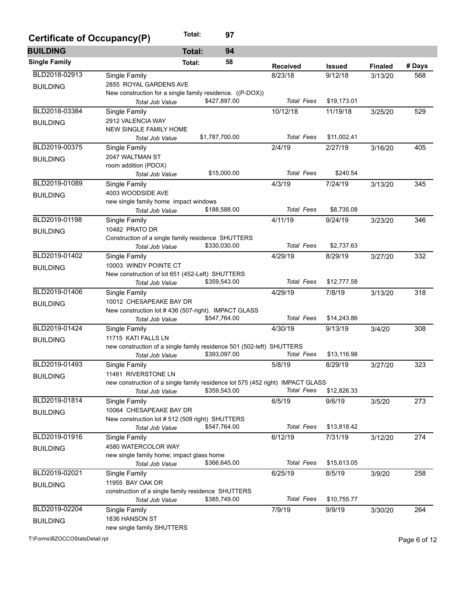| Certificate of Occupancy(P) |                                                                                | Total:        | 97             |                   |               |                |        |
|-----------------------------|--------------------------------------------------------------------------------|---------------|----------------|-------------------|---------------|----------------|--------|
| <b>BUILDING</b>             |                                                                                | <b>Total:</b> | 94             |                   |               |                |        |
| <b>Single Family</b>        |                                                                                | Total:        | 58             | <b>Received</b>   | <b>Issued</b> | <b>Finaled</b> | # Days |
| BLD2018-02913               | Single Family                                                                  |               |                | 8/23/18           | 9/12/18       | 3/13/20        | 568    |
| <b>BUILDING</b>             | 2855 ROYAL GARDENS AVE                                                         |               |                |                   |               |                |        |
|                             | New construction for a single family residence. ((P-DOX))                      |               |                |                   |               |                |        |
|                             | Total Job Value                                                                |               | \$427,897.00   | <b>Total Fees</b> | \$19,173.01   |                |        |
| BLD2018-03384               | Single Family                                                                  |               |                | 10/12/18          | 11/19/18      | 3/25/20        | 529    |
| <b>BUILDING</b>             | 2912 VALENCIA WAY                                                              |               |                |                   |               |                |        |
|                             | <b>NEW SINGLE FAMILY HOME</b>                                                  |               |                |                   |               |                |        |
|                             | Total Job Value                                                                |               | \$1,787,700.00 | <b>Total Fees</b> | \$11,002.41   |                |        |
| BLD2019-00375               | Single Family                                                                  |               |                | 2/4/19            | 2/27/19       | 3/16/20        | 405    |
| <b>BUILDING</b>             | 2047 WALTMAN ST                                                                |               |                |                   |               |                |        |
|                             | room addition (PDOX)                                                           |               |                |                   |               |                |        |
|                             | Total Job Value                                                                |               | \$15,000.00    | <b>Total Fees</b> | \$240.54      |                |        |
| BLD2019-01089               | Single Family                                                                  |               |                | 4/3/19            | 7/24/19       | 3/13/20        | 345    |
| <b>BUILDING</b>             | 4003 WOODSIDE AVE                                                              |               |                |                   |               |                |        |
|                             | new single family home impact windows                                          |               | \$188,588.00   | <b>Total Fees</b> | \$8,735.08    |                |        |
|                             | Total Job Value                                                                |               |                |                   |               |                |        |
| BLD2019-01198               | Single Family                                                                  |               |                | 4/11/19           | 9/24/19       | 3/23/20        | 346    |
| <b>BUILDING</b>             | 10482 PRATO DR                                                                 |               |                |                   |               |                |        |
|                             | Construction of a single family residence SHUTTERS<br><b>Total Job Value</b>   |               | \$330,030.00   | <b>Total Fees</b> | \$2,737.63    |                |        |
| BLD2019-01402               |                                                                                |               |                | 4/29/19           | 8/29/19       |                |        |
|                             | Single Family<br>10003 WINDY POINTE CT                                         |               |                |                   |               | 3/27/20        | 332    |
| <b>BUILDING</b>             | New construction of lot 651 (452-Left) SHUTTERS                                |               |                |                   |               |                |        |
|                             | Total Job Value                                                                |               | \$359,543.00   | <b>Total Fees</b> | \$12,777.58   |                |        |
| BLD2019-01406               | Single Family                                                                  |               |                | 4/29/19           | 7/8/19        | 3/13/20        | 318    |
|                             | 10012 CHESAPEAKE BAY DR                                                        |               |                |                   |               |                |        |
| <b>BUILDING</b>             | New construction lot #436 (507-right). IMPACT GLASS                            |               |                |                   |               |                |        |
|                             | Total Job Value                                                                |               | \$547,764.00   | <b>Total Fees</b> | \$14,243.86   |                |        |
| BLD2019-01424               | Single Family                                                                  |               |                | 4/30/19           | 9/13/19       | 3/4/20         | 308    |
| <b>BUILDING</b>             | 11715 KATI FALLS LN                                                            |               |                |                   |               |                |        |
|                             | new construction of a single family residence 501 (502-left) SHUTTERS          |               |                |                   |               |                |        |
|                             | <b>Total Job Value</b>                                                         |               | \$393,097.00   | <b>Total Fees</b> | \$13,116.98   |                |        |
| BLD2019-01493               | Single Family                                                                  |               |                | 5/8/19            | 8/29/19       | 3/27/20        | 323    |
| <b>BUILDING</b>             | 11481 RIVERSTONE LN                                                            |               |                |                   |               |                |        |
|                             | new construction of a single family residence lot 575 (452 right) IMPACT GLASS |               |                |                   |               |                |        |
|                             | Total Job Value                                                                |               | \$359,543.00   | <b>Total Fees</b> | \$12,826.33   |                |        |
| BLD2019-01814               | Single Family                                                                  |               |                | 6/5/19            | 9/6/19        | 3/5/20         | 273    |
| <b>BUILDING</b>             | 10064 CHESAPEAKE BAY DR                                                        |               |                |                   |               |                |        |
|                             | New construction lot #512 (509 right) SHUTTERS                                 |               |                |                   |               |                |        |
|                             | Total Job Value                                                                |               | \$547,764.00   | <b>Total Fees</b> | \$13,818.42   |                |        |
| BLD2019-01916               | Single Family                                                                  |               |                | 6/12/19           | 7/31/19       | 3/12/20        | 274    |
| <b>BUILDING</b>             | 4580 WATERCOLOR WAY                                                            |               |                |                   |               |                |        |
|                             | new single family home; impact glass home                                      |               |                |                   |               |                |        |
|                             | Total Job Value                                                                |               | \$366,645.00   | <b>Total Fees</b> | \$15,613.05   |                |        |
| BLD2019-02021               | Single Family                                                                  |               |                | 6/25/19           | 8/5/19        | 3/9/20         | 258    |
| <b>BUILDING</b>             | 11955 BAY OAK DR                                                               |               |                |                   |               |                |        |
|                             | construction of a single family residence SHUTTERS                             |               | \$385,749.00   | <b>Total Fees</b> | \$10,755.77   |                |        |
| BLD2019-02204               | Total Job Value                                                                |               |                |                   |               |                |        |
|                             | Single Family<br>1836 HANSON ST                                                |               |                | 7/9/19            | 9/9/19        | 3/30/20        | 264    |
| <b>BUILDING</b>             | new single family SHUTTERS                                                     |               |                |                   |               |                |        |
|                             |                                                                                |               |                |                   |               |                |        |

T:\Forms\BZOCCOStatsDetail.rpt Page 6 of 12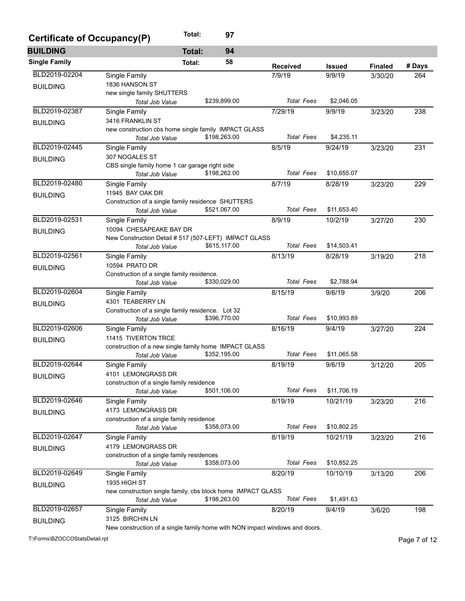| Certificate of Occupancy(P) |                                                                             | Total:        | 97           |                   |               |                |        |
|-----------------------------|-----------------------------------------------------------------------------|---------------|--------------|-------------------|---------------|----------------|--------|
| <b>BUILDING</b>             |                                                                             | <b>Total:</b> | 94           |                   |               |                |        |
| <b>Single Family</b>        |                                                                             | Total:        | 58           | <b>Received</b>   | <b>Issued</b> | <b>Finaled</b> | # Days |
| BLD2019-02204               | Single Family                                                               |               |              | 7/9/19            | 9/9/19        | 3/30/20        | 264    |
| <b>BUILDING</b>             | 1836 HANSON ST                                                              |               |              |                   |               |                |        |
|                             | new single family SHUTTERS                                                  |               |              |                   |               |                |        |
|                             | Total Job Value                                                             |               | \$239,899.00 | <b>Total Fees</b> | \$2,046.05    |                |        |
| BLD2019-02387               | Single Family                                                               |               |              | 7/29/19           | 9/9/19        | 3/23/20        | 238    |
| <b>BUILDING</b>             | 3416 FRANKLIN ST                                                            |               |              |                   |               |                |        |
|                             | new construction cbs home single family IMPACT GLASS                        |               |              |                   |               |                |        |
|                             | Total Job Value                                                             |               | \$198,263.00 | <b>Total Fees</b> | \$4,235.11    |                |        |
| BLD2019-02445               | Single Family                                                               |               |              | 8/5/19            | 9/24/19       | 3/23/20        | 231    |
| <b>BUILDING</b>             | 307 NOGALES ST                                                              |               |              |                   |               |                |        |
|                             | CBS single family home 1 car garage right side                              |               |              |                   |               |                |        |
|                             | <b>Total Job Value</b>                                                      |               | \$198,262.00 | <b>Total Fees</b> | \$10,655.07   |                |        |
| BLD2019-02480               | Single Family                                                               |               |              | 8/7/19            | 8/28/19       | 3/23/20        | 229    |
| <b>BUILDING</b>             | 11945 BAY OAK DR                                                            |               |              |                   |               |                |        |
|                             | Construction of a single family residence SHUTTERS                          |               |              |                   |               |                |        |
|                             | Total Job Value                                                             |               | \$521,067.00 | <b>Total Fees</b> | \$11,653.40   |                |        |
| BLD2019-02531               | Single Family                                                               |               |              | 8/9/19            | 10/2/19       | 3/27/20        | 230    |
| <b>BUILDING</b>             | 10094 CHESAPEAKE BAY DR                                                     |               |              |                   |               |                |        |
|                             | New Construction Detail # 517 (507-LEFT) IMPACT GLASS                       |               |              |                   |               |                |        |
|                             | Total Job Value                                                             |               | \$615,117.00 | <b>Total Fees</b> | \$14,503.41   |                |        |
| BLD2019-02561               | Single Family                                                               |               |              | 8/13/19           | 8/28/19       | 3/19/20        | 218    |
| <b>BUILDING</b>             | 10594 PRATO DR                                                              |               |              |                   |               |                |        |
|                             | Construction of a single family residence.                                  |               |              |                   |               |                |        |
|                             | <b>Total Job Value</b>                                                      |               | \$330,029.00 | <b>Total Fees</b> | \$2,788.94    |                |        |
| BLD2019-02604               | Single Family                                                               |               |              | 8/15/19           | 9/6/19        | 3/9/20         | 206    |
| <b>BUILDING</b>             | 4301 TEABERRY LN                                                            |               |              |                   |               |                |        |
|                             | Construction of a single family residence. Lot 32                           |               |              |                   |               |                |        |
|                             | Total Job Value                                                             |               | \$396,770.00 | <b>Total Fees</b> | \$10,993.89   |                |        |
| BLD2019-02606               | Single Family                                                               |               |              | 8/16/19           | 9/4/19        | 3/27/20        | 224    |
| <b>BUILDING</b>             | 11415 TIVERTON TRCE                                                         |               |              |                   |               |                |        |
|                             | construction of a new single family home IMPACT GLASS                       |               |              |                   |               |                |        |
|                             | <b>Total Job Value</b>                                                      |               | \$352,195.00 | <b>Total Fees</b> | \$11,065.58   |                |        |
| BLD2019-02644               | Single Family                                                               |               |              | 8/19/19           | 9/6/19        | 3/12/20        | 205    |
| <b>BUILDING</b>             | 4101 LEMONGRASS DR                                                          |               |              |                   |               |                |        |
|                             | construction of a single family residence                                   |               |              |                   |               |                |        |
|                             | Total Job Value                                                             |               | \$501,106.00 | <b>Total Fees</b> | \$11,706.19   |                |        |
| BLD2019-02646               | Single Family                                                               |               |              | 8/19/19           | 10/21/19      | 3/23/20        | 216    |
| <b>BUILDING</b>             | 4173 LEMONGRASS DR                                                          |               |              |                   |               |                |        |
|                             | construction of a single family residence                                   |               |              |                   |               |                |        |
|                             | Total Job Value                                                             |               | \$358,073.00 | <b>Total Fees</b> | \$10,802.25   |                |        |
| BLD2019-02647               | Single Family                                                               |               |              | 8/19/19           | 10/21/19      | 3/23/20        | 216    |
| <b>BUILDING</b>             | 4179 LEMONGRASS DR                                                          |               |              |                   |               |                |        |
|                             | construction of a single family residences                                  |               |              |                   |               |                |        |
|                             | Total Job Value                                                             |               | \$358,073.00 | <b>Total Fees</b> | \$10,852.25   |                |        |
| BLD2019-02649               | Single Family                                                               |               |              | 8/20/19           | 10/10/19      | 3/13/20        | 206    |
| <b>BUILDING</b>             | <b>1935 HIGH ST</b>                                                         |               |              |                   |               |                |        |
|                             | new construction single family, cbs block home IMPACT GLASS                 |               |              |                   |               |                |        |
|                             | Total Job Value                                                             |               | \$198,263.00 | <b>Total Fees</b> | \$1,491.63    |                |        |
| BLD2019-02657               | Single Family                                                               |               |              | 8/20/19           | 9/4/19        | 3/6/20         | 198    |
| <b>BUILDING</b>             | 3125 BIRCHIN LN                                                             |               |              |                   |               |                |        |
|                             | New construction of a single family home with NON impact windows and doors. |               |              |                   |               |                |        |

T:\Forms\BZOCCOStatsDetail.rpt Page 7 of 12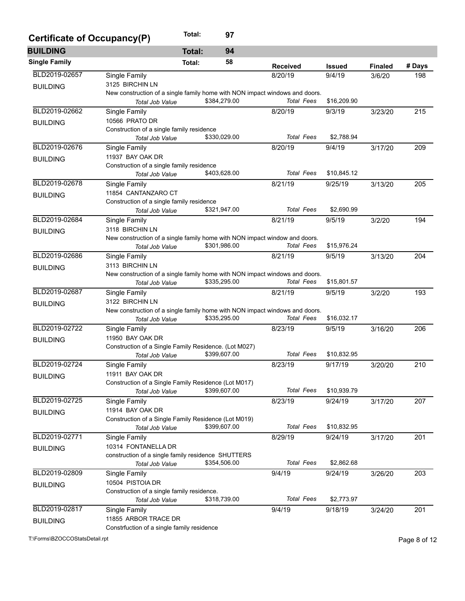| Certificate of Occupancy(P) |                                                                             | Total:        | 97           |                   |               |                |        |
|-----------------------------|-----------------------------------------------------------------------------|---------------|--------------|-------------------|---------------|----------------|--------|
| <b>BUILDING</b>             |                                                                             | <b>Total:</b> | 94           |                   |               |                |        |
| <b>Single Family</b>        |                                                                             | Total:        | 58           | <b>Received</b>   | <b>Issued</b> | <b>Finaled</b> | # Days |
| BLD2019-02657               | Single Family                                                               |               |              | 8/20/19           | 9/4/19        | 3/6/20         | 198    |
| <b>BUILDING</b>             | 3125 BIRCHIN LN                                                             |               |              |                   |               |                |        |
|                             | New construction of a single family home with NON impact windows and doors. |               |              |                   |               |                |        |
|                             | Total Job Value                                                             |               | \$384,279.00 | <b>Total Fees</b> | \$16,209.90   |                |        |
| BLD2019-02662               | Single Family                                                               |               |              | 8/20/19           | 9/3/19        | 3/23/20        | 215    |
| <b>BUILDING</b>             | 10566 PRATO DR                                                              |               |              |                   |               |                |        |
|                             | Construction of a single family residence                                   |               |              |                   |               |                |        |
|                             | Total Job Value                                                             |               | \$330,029.00 | <b>Total Fees</b> | \$2,788.94    |                |        |
| BLD2019-02676               | Single Family                                                               |               |              | 8/20/19           | 9/4/19        | 3/17/20        | 209    |
| <b>BUILDING</b>             | 11937 BAY OAK DR                                                            |               |              |                   |               |                |        |
|                             | Construction of a single family residence                                   |               |              |                   |               |                |        |
|                             | Total Job Value                                                             |               | \$403,628.00 | <b>Total Fees</b> | \$10,845.12   |                |        |
| BLD2019-02678               | Single Family                                                               |               |              | 8/21/19           | 9/25/19       | 3/13/20        | 205    |
| <b>BUILDING</b>             | 11854 CANTANZARO CT                                                         |               |              |                   |               |                |        |
|                             | Construction of a single family residence                                   |               |              |                   |               |                |        |
|                             | Total Job Value                                                             |               | \$321,947.00 | <b>Total Fees</b> | \$2,690.99    |                |        |
| BLD2019-02684               | Single Family                                                               |               |              | 8/21/19           | 9/5/19        | 3/2/20         | 194    |
| <b>BUILDING</b>             | 3118 BIRCHIN LN                                                             |               |              |                   |               |                |        |
|                             | New construction of a single family home with NON impact window and doors.  |               |              |                   |               |                |        |
|                             | Total Job Value                                                             |               | \$301,986.00 | <b>Total Fees</b> | \$15,976.24   |                |        |
| BLD2019-02686               | Single Family                                                               |               |              | 8/21/19           | 9/5/19        | 3/13/20        | 204    |
| <b>BUILDING</b>             | 3113 BIRCHIN LN                                                             |               |              |                   |               |                |        |
|                             | New construction of a single family home with NON impact windows and doors. |               |              |                   |               |                |        |
|                             | Total Job Value                                                             |               | \$335,295.00 | <b>Total Fees</b> | \$15,801.57   |                |        |
| BLD2019-02687               | Single Family                                                               |               |              | 8/21/19           | 9/5/19        | 3/2/20         | 193    |
| <b>BUILDING</b>             | 3122 BIRCHIN LN                                                             |               |              |                   |               |                |        |
|                             | New construction of a single family home with NON impact windows and doors. |               |              |                   |               |                |        |
|                             | Total Job Value                                                             |               | \$335,295.00 | <b>Total Fees</b> | \$16,032.17   |                |        |
| BLD2019-02722               | Single Family                                                               |               |              | 8/23/19           | 9/5/19        | 3/16/20        | 206    |
| <b>BUILDING</b>             | 11950 BAY OAK DR                                                            |               |              |                   |               |                |        |
|                             | Construction of a Single Family Residence. (Lot M027)                       |               |              |                   |               |                |        |
|                             | Total Job Value                                                             |               | \$399,607.00 | <b>Total Fees</b> | \$10,832.95   |                |        |
| BLD2019-02724               | Single Family                                                               |               |              | 8/23/19           | 9/17/19       | 3/20/20        | 210    |
| <b>BUILDING</b>             | 11911 BAY OAK DR                                                            |               |              |                   |               |                |        |
|                             | Construction of a Single Family Residence (Lot M017)                        |               |              |                   | \$10,939.79   |                |        |
|                             | Total Job Value                                                             |               | \$399,607.00 | Total Fees        |               |                |        |
| BLD2019-02725               | Single Family                                                               |               |              | 8/23/19           | 9/24/19       | 3/17/20        | 207    |
| <b>BUILDING</b>             | 11914 BAY OAK DR                                                            |               |              |                   |               |                |        |
|                             | Construction of a Single Family Residence (Lot M019)                        |               |              |                   |               |                |        |
|                             | Total Job Value                                                             |               | \$399,607.00 | <b>Total Fees</b> | \$10,832.95   |                |        |
| BLD2019-02771               | Single Family                                                               |               |              | 8/29/19           | 9/24/19       | 3/17/20        | 201    |
| <b>BUILDING</b>             | 10314 FONTANELLA DR                                                         |               |              |                   |               |                |        |
|                             | construction of a single family residence SHUTTERS                          |               | \$354,506.00 | <b>Total Fees</b> | \$2,862.68    |                |        |
|                             | Total Job Value                                                             |               |              |                   |               |                |        |
| BLD2019-02809               | Single Family                                                               |               |              | 9/4/19            | 9/24/19       | 3/26/20        | 203    |
| <b>BUILDING</b>             | 10504 PISTOIA DR                                                            |               |              |                   |               |                |        |
|                             | Construction of a single family residence.                                  |               | \$318,739.00 | <b>Total Fees</b> | \$2,773.97    |                |        |
| BLD2019-02817               | Total Job Value                                                             |               |              |                   |               |                |        |
|                             | Single Family                                                               |               |              | 9/4/19            | 9/18/19       | 3/24/20        | 201    |
| <b>BUILDING</b>             | 11855 ARBOR TRACE DR                                                        |               |              |                   |               |                |        |
|                             | Constrfuction of a single family residence                                  |               |              |                   |               |                |        |

T:\Forms\BZOCCOStatsDetail.rpt Page 8 of 12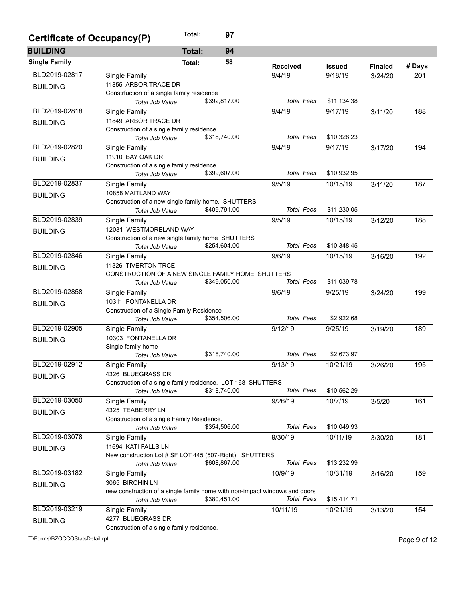| Certificate of Occupancy(P) |                                                                                | Total:        | 97           |                   |               |                |        |
|-----------------------------|--------------------------------------------------------------------------------|---------------|--------------|-------------------|---------------|----------------|--------|
| <b>BUILDING</b>             |                                                                                | <b>Total:</b> | 94           |                   |               |                |        |
| <b>Single Family</b>        |                                                                                | Total:        | 58           | <b>Received</b>   | <b>Issued</b> | <b>Finaled</b> | # Days |
| BLD2019-02817               | Single Family                                                                  |               |              | 9/4/19            | 9/18/19       | 3/24/20        | 201    |
| <b>BUILDING</b>             | 11855 ARBOR TRACE DR                                                           |               |              |                   |               |                |        |
|                             | Constrfuction of a single family residence                                     |               |              |                   |               |                |        |
|                             | Total Job Value                                                                |               | \$392,817.00 | <b>Total Fees</b> | \$11,134.38   |                |        |
| BLD2019-02818               | Single Family                                                                  |               |              | 9/4/19            | 9/17/19       | 3/11/20        | 188    |
| <b>BUILDING</b>             | 11849 ARBOR TRACE DR                                                           |               |              |                   |               |                |        |
|                             | Construction of a single family residence                                      |               |              |                   |               |                |        |
|                             | <b>Total Job Value</b>                                                         |               | \$318,740.00 | Total Fees        | \$10,328.23   |                |        |
| BLD2019-02820               | Single Family                                                                  |               |              | 9/4/19            | 9/17/19       | 3/17/20        | 194    |
| <b>BUILDING</b>             | 11910 BAY OAK DR                                                               |               |              |                   |               |                |        |
|                             | Construction of a single family residence<br><b>Total Job Value</b>            |               | \$399,607.00 | Total Fees        | \$10,932.95   |                |        |
| BLD2019-02837               | Single Family                                                                  |               |              | 9/5/19            | 10/15/19      | 3/11/20        | 187    |
|                             | 10858 MAITLAND WAY                                                             |               |              |                   |               |                |        |
| <b>BUILDING</b>             | Construction of a new single family home. SHUTTERS                             |               |              |                   |               |                |        |
|                             | Total Job Value                                                                |               | \$409,791.00 | <b>Total Fees</b> | \$11,230.05   |                |        |
| BLD2019-02839               | Single Family                                                                  |               |              | 9/5/19            | 10/15/19      | 3/12/20        | 188    |
| <b>BUILDING</b>             | 12031 WESTMORELAND WAY                                                         |               |              |                   |               |                |        |
|                             | Construction of a new single family home SHUTTERS                              |               |              |                   |               |                |        |
|                             | Total Job Value                                                                |               | \$254,604.00 | <b>Total Fees</b> | \$10,348.45   |                |        |
| BLD2019-02846               | Single Family                                                                  |               |              | 9/6/19            | 10/15/19      | 3/16/20        | 192    |
| <b>BUILDING</b>             | 11326 TIVERTON TRCE                                                            |               |              |                   |               |                |        |
|                             | CONSTRUCTION OF A NEW SINGLE FAMILY HOME SHUTTERS                              |               |              |                   |               |                |        |
|                             | <b>Total Job Value</b>                                                         |               | \$349,050.00 | <b>Total Fees</b> | \$11,039.78   |                |        |
| BLD2019-02858               | Single Family                                                                  |               |              | 9/6/19            | 9/25/19       | 3/24/20        | 199    |
| <b>BUILDING</b>             | 10311 FONTANELLA DR                                                            |               |              |                   |               |                |        |
|                             | Construction of a Single Family Residence<br>Total Job Value                   |               | \$354,506.00 | <b>Total Fees</b> | \$2,922.68    |                |        |
| BLD2019-02905               | Single Family                                                                  |               |              | 9/12/19           | 9/25/19       | 3/19/20        | 189    |
|                             | 10303 FONTANELLA DR                                                            |               |              |                   |               |                |        |
| <b>BUILDING</b>             | Single family home                                                             |               |              |                   |               |                |        |
|                             | <b>Total Job Value</b>                                                         |               | \$318,740.00 | Total Fees        | \$2,673.97    |                |        |
| BLD2019-02912               | Single Family                                                                  |               |              | 9/13/19           | 10/21/19      | 3/26/20        | 195    |
| <b>BUILDING</b>             | 4326 BLUEGRASS DR                                                              |               |              |                   |               |                |        |
|                             | Construction of a single family residence. LOT 168 SHUTTERS                    |               |              |                   |               |                |        |
|                             | Total Job Value                                                                |               | \$318,740.00 | <b>Total Fees</b> | \$10,562.29   |                |        |
| BLD2019-03050               | Single Family                                                                  |               |              | 9/26/19           | 10/7/19       | 3/5/20         | 161    |
| <b>BUILDING</b>             | 4325 TEABERRY LN                                                               |               |              |                   |               |                |        |
|                             | Construction of a single Family Residence.                                     |               |              |                   |               |                |        |
|                             | Total Job Value                                                                |               | \$354,506.00 | <b>Total Fees</b> | \$10,049.93   |                |        |
| BLD2019-03078               | Single Family                                                                  |               |              | 9/30/19           | 10/11/19      | 3/30/20        | 181    |
| <b>BUILDING</b>             | 11694 KATI FALLS LN<br>New construction Lot # SF LOT 445 (507-Right). SHUTTERS |               |              |                   |               |                |        |
|                             | Total Job Value                                                                |               | \$608,867.00 | <b>Total Fees</b> | \$13,232.99   |                |        |
| BLD2019-03182               | Single Family                                                                  |               |              | 10/9/19           | 10/31/19      | 3/16/20        | 159    |
|                             | 3065 BIRCHIN LN                                                                |               |              |                   |               |                |        |
| <b>BUILDING</b>             | new construction of a single family home with non-impact windows and doors     |               |              |                   |               |                |        |
|                             | Total Job Value                                                                |               | \$380,451.00 | <b>Total Fees</b> | \$15,414.71   |                |        |
| BLD2019-03219               | Single Family                                                                  |               |              | 10/11/19          | 10/21/19      | 3/13/20        | 154    |
| <b>BUILDING</b>             | 4277 BLUEGRASS DR                                                              |               |              |                   |               |                |        |
|                             | Construction of a single family residence.                                     |               |              |                   |               |                |        |

T:\Forms\BZOCCOStatsDetail.rpt Page 9 of 12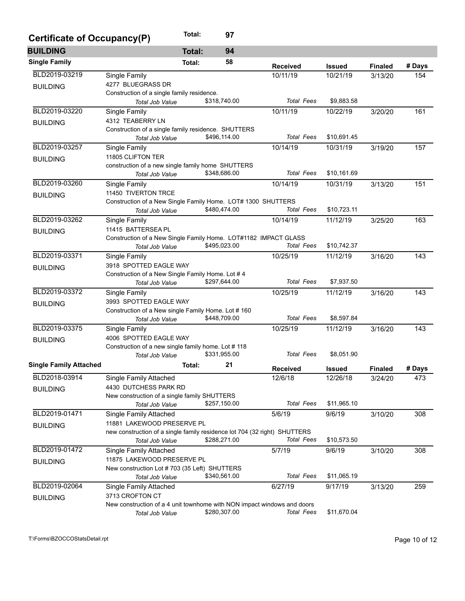| Certificate of Occupancy(P)   |                                                                           | Total:        | 97           |                   |               |                |        |
|-------------------------------|---------------------------------------------------------------------------|---------------|--------------|-------------------|---------------|----------------|--------|
| <b>BUILDING</b>               |                                                                           | <b>Total:</b> | 94           |                   |               |                |        |
| <b>Single Family</b>          |                                                                           | Total:        | 58           | <b>Received</b>   | <b>Issued</b> | <b>Finaled</b> | # Days |
| BLD2019-03219                 | Single Family                                                             |               |              | 10/11/19          | 10/21/19      | 3/13/20        | 154    |
| <b>BUILDING</b>               | 4277 BLUEGRASS DR                                                         |               |              |                   |               |                |        |
|                               | Construction of a single family residence.                                |               |              |                   |               |                |        |
|                               | Total Job Value                                                           |               | \$318,740.00 | <b>Total Fees</b> | \$9,883.58    |                |        |
| BLD2019-03220                 | Single Family                                                             |               |              | 10/11/19          | 10/22/19      | 3/20/20        | 161    |
| <b>BUILDING</b>               | 4312 TEABERRY LN                                                          |               |              |                   |               |                |        |
|                               | Construction of a single family residence. SHUTTERS                       |               |              |                   |               |                |        |
|                               | Total Job Value                                                           |               | \$496,114.00 | <b>Total Fees</b> | \$10,691.45   |                |        |
| BLD2019-03257                 | Single Family                                                             |               |              | 10/14/19          | 10/31/19      | 3/19/20        | 157    |
| <b>BUILDING</b>               | 11805 CLIFTON TER                                                         |               |              |                   |               |                |        |
|                               | construction of a new single family home SHUTTERS                         |               |              |                   |               |                |        |
|                               | Total Job Value                                                           |               | \$348,686.00 | <b>Total Fees</b> | \$10,161.69   |                |        |
| BLD2019-03260                 | Single Family                                                             |               |              | 10/14/19          | 10/31/19      | 3/13/20        | 151    |
| <b>BUILDING</b>               | 11450 TIVERTON TRCE                                                       |               |              |                   |               |                |        |
|                               | Construction of a New Single Family Home. LOT# 1300 SHUTTERS              |               |              |                   |               |                |        |
|                               | Total Job Value                                                           |               | \$480,474.00 | <b>Total Fees</b> | \$10,723.11   |                |        |
| BLD2019-03262                 | Single Family                                                             |               |              | 10/14/19          | 11/12/19      | 3/25/20        | 163    |
| <b>BUILDING</b>               | 11415 BATTERSEA PL                                                        |               |              |                   |               |                |        |
|                               | Construction of a New Single Family Home. LOT#1182 IMPACT GLASS           |               |              |                   |               |                |        |
|                               | <b>Total Job Value</b>                                                    |               | \$495,023.00 | <b>Total Fees</b> | \$10,742.37   |                |        |
| BLD2019-03371                 | Single Family                                                             |               |              | 10/25/19          | 11/12/19      | 3/16/20        | 143    |
| <b>BUILDING</b>               | 3918 SPOTTED EAGLE WAY                                                    |               |              |                   |               |                |        |
|                               | Construction of a New Single Family Home. Lot #4                          |               | \$297,644.00 | <b>Total Fees</b> | \$7,937.50    |                |        |
|                               | Total Job Value                                                           |               |              |                   |               |                |        |
| BLD2019-03372                 | Single Family                                                             |               |              | 10/25/19          | 11/12/19      | 3/16/20        | 143    |
| <b>BUILDING</b>               | 3993 SPOTTED EAGLE WAY                                                    |               |              |                   |               |                |        |
|                               | Construction of a New single Family Home. Lot #160                        |               | \$448,709.00 | <b>Total Fees</b> | \$8,597.84    |                |        |
|                               | Total Job Value                                                           |               |              |                   |               |                |        |
| BLD2019-03375                 | Single Family                                                             |               |              | 10/25/19          | 11/12/19      | 3/16/20        | 143    |
| <b>BUILDING</b>               | 4006 SPOTTED EAGLE WAY                                                    |               |              |                   |               |                |        |
|                               | Construction of a new single family home. Lot #118<br>Total Job Value     |               | \$331,955.00 | <b>Total Fees</b> | \$8,051.90    |                |        |
|                               |                                                                           |               | 21           |                   |               |                |        |
| <b>Single Family Attached</b> |                                                                           | Total:        |              | <b>Received</b>   | <b>Issued</b> | <b>Finaled</b> | # Days |
| BLD2018-03914                 | Single Family Attached                                                    |               |              | 12/6/18           | 12/26/18      | 3/24/20        | 473    |
| <b>BUILDING</b>               | 4430 DUTCHESS PARK RD                                                     |               |              |                   |               |                |        |
|                               | New construction of a single family SHUTTERS                              |               |              |                   |               |                |        |
|                               | Total Job Value                                                           |               | \$257,150.00 | <b>Total Fees</b> | \$11,965.10   |                |        |
| BLD2019-01471                 | Single Family Attached                                                    |               |              | 5/6/19            | 9/6/19        | 3/10/20        | 308    |
| <b>BUILDING</b>               | 11881 LAKEWOOD PRESERVE PL                                                |               |              |                   |               |                |        |
|                               | new construction of a single family residence lot 704 (32 right) SHUTTERS |               |              |                   |               |                |        |
|                               | Total Job Value                                                           |               | \$288,271.00 | <b>Total Fees</b> | \$10,573.50   |                |        |
| BLD2019-01472                 | Single Family Attached                                                    |               |              | 5/7/19            | 9/6/19        | 3/10/20        | 308    |
| <b>BUILDING</b>               | 11875 LAKEWOOD PRESERVE PL                                                |               |              |                   |               |                |        |
|                               | New construction Lot #703 (35 Left) SHUTTERS                              |               |              |                   |               |                |        |
|                               | Total Job Value                                                           |               | \$340,561.00 | <b>Total Fees</b> | \$11,065.19   |                |        |
| BLD2019-02064                 | Single Family Attached                                                    |               |              | 6/27/19           | 9/17/19       | 3/13/20        | 259    |
| <b>BUILDING</b>               | 3713 CROFTON CT                                                           |               |              |                   |               |                |        |
|                               | New construction of a 4 unit townhome with NON impact windows and doors   |               |              |                   |               |                |        |
|                               | Total Job Value                                                           |               | \$280,307.00 | <b>Total Fees</b> | \$11,670.04   |                |        |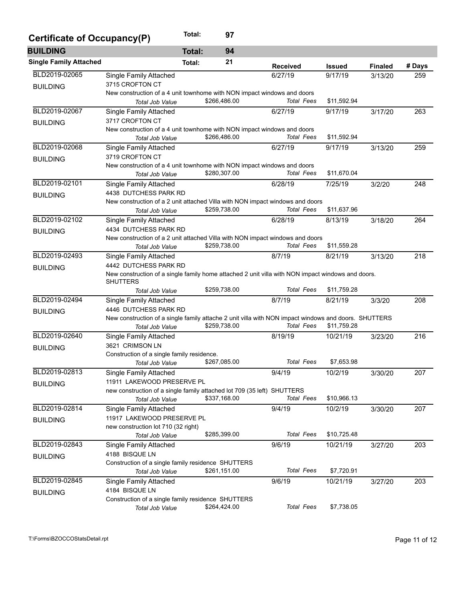| Certificate of Occupancy(P)   |                                                                                                      | Total:        | 97           |                   |               |                |        |
|-------------------------------|------------------------------------------------------------------------------------------------------|---------------|--------------|-------------------|---------------|----------------|--------|
| <b>BUILDING</b>               |                                                                                                      | <b>Total:</b> | 94           |                   |               |                |        |
| <b>Single Family Attached</b> |                                                                                                      | Total:        | 21           | <b>Received</b>   | <b>Issued</b> | <b>Finaled</b> | # Days |
| BLD2019-02065                 | <b>Single Family Attached</b>                                                                        |               |              | 6/27/19           | 9/17/19       | 3/13/20        | 259    |
| <b>BUILDING</b>               | 3715 CROFTON CT                                                                                      |               |              |                   |               |                |        |
|                               | New construction of a 4 unit townhome with NON impact windows and doors                              |               |              |                   |               |                |        |
|                               | Total Job Value                                                                                      |               | \$266,486.00 | <b>Total Fees</b> | \$11,592.94   |                |        |
| BLD2019-02067                 | Single Family Attached                                                                               |               |              | 6/27/19           | 9/17/19       | 3/17/20        | 263    |
| <b>BUILDING</b>               | 3717 CROFTON CT                                                                                      |               |              |                   |               |                |        |
|                               | New construction of a 4 unit townhome with NON impact windows and doors                              |               |              |                   |               |                |        |
|                               | Total Job Value                                                                                      |               | \$266,486.00 | Total Fees        | \$11,592.94   |                |        |
| BLD2019-02068                 | Single Family Attached                                                                               |               |              | 6/27/19           | 9/17/19       | 3/13/20        | 259    |
| <b>BUILDING</b>               | 3719 CROFTON CT                                                                                      |               |              |                   |               |                |        |
|                               | New construction of a 4 unit townhome with NON impact windows and doors                              |               |              |                   |               |                |        |
|                               | Total Job Value                                                                                      |               | \$280,307.00 | <b>Total Fees</b> | \$11,670.04   |                |        |
| BLD2019-02101                 | Single Family Attached                                                                               |               |              | 6/28/19           | 7/25/19       | 3/2/20         | 248    |
| <b>BUILDING</b>               | 4438 DUTCHESS PARK RD                                                                                |               |              |                   |               |                |        |
|                               | New construction of a 2 unit attached Villa with NON impact windows and doors                        |               |              |                   |               |                |        |
|                               | Total Job Value                                                                                      |               | \$259,738.00 | <b>Total Fees</b> | \$11,637.96   |                |        |
| BLD2019-02102                 | Single Family Attached                                                                               |               |              | 6/28/19           | 8/13/19       | 3/18/20        | 264    |
| <b>BUILDING</b>               | 4434 DUTCHESS PARK RD                                                                                |               |              |                   |               |                |        |
|                               | New construction of a 2 unit attached Villa with NON impact windows and doors                        |               |              |                   |               |                |        |
|                               | Total Job Value                                                                                      |               | \$259,738.00 | <b>Total Fees</b> | \$11,559.28   |                |        |
| BLD2019-02493                 | Single Family Attached                                                                               |               |              | 8/7/19            | 8/21/19       | 3/13/20        | 218    |
| <b>BUILDING</b>               | 4442 DUTCHESS PARK RD                                                                                |               |              |                   |               |                |        |
|                               | New construction of a single family home attached 2 unit villa with NON impact windows and doors.    |               |              |                   |               |                |        |
|                               | <b>SHUTTERS</b>                                                                                      |               |              |                   |               |                |        |
|                               | <b>Total Job Value</b>                                                                               |               | \$259,738.00 | <b>Total Fees</b> | \$11,759.28   |                |        |
| BLD2019-02494                 | Single Family Attached                                                                               |               |              | 8/7/19            | 8/21/19       | 3/3/20         | 208    |
| <b>BUILDING</b>               | 4446 DUTCHESS PARK RD                                                                                |               |              |                   |               |                |        |
|                               | New construction of a single family attache 2 unit villa with NON impact windows and doors. SHUTTERS |               |              |                   |               |                |        |
|                               | <b>Total Job Value</b>                                                                               |               | \$259,738.00 | <b>Total Fees</b> | \$11,759.28   |                |        |
| BLD2019-02640                 | Single Family Attached                                                                               |               |              | 8/19/19           | 10/21/19      | 3/23/20        | 216    |
| <b>BUILDING</b>               | 3621 CRIMSON LN                                                                                      |               |              |                   |               |                |        |
|                               | Construction of a single family residence.                                                           |               |              |                   |               |                |        |
|                               | <b>Total Job Value</b>                                                                               |               | \$267,085.00 | <b>Total Fees</b> | \$7,653.98    |                |        |
| BLD2019-02813                 | Single Family Attached                                                                               |               |              | 9/4/19            | 10/2/19       | 3/30/20        | 207    |
| <b>BUILDING</b>               | 11911 LAKEWOOD PRESERVE PL                                                                           |               |              |                   |               |                |        |
|                               | new construction of a single family attached lot 709 (35 left) SHUTTERS                              |               |              |                   |               |                |        |
|                               | Total Job Value                                                                                      |               | \$337,168.00 | <b>Total Fees</b> | \$10,966.13   |                |        |
| BLD2019-02814                 | Single Family Attached                                                                               |               |              | 9/4/19            | 10/2/19       | 3/30/20        | 207    |
| <b>BUILDING</b>               | 11917 LAKEWOOD PRESERVE PL                                                                           |               |              |                   |               |                |        |
|                               | new construction lot 710 (32 right)                                                                  |               |              |                   |               |                |        |
|                               | Total Job Value                                                                                      |               | \$285,399.00 | <b>Total Fees</b> | \$10,725.48   |                |        |
| BLD2019-02843                 | Single Family Attached                                                                               |               |              | 9/6/19            | 10/21/19      | 3/27/20        | 203    |
| <b>BUILDING</b>               | 4188 BISQUE LN                                                                                       |               |              |                   |               |                |        |
|                               | Construction of a single family residence SHUTTERS                                                   |               |              |                   |               |                |        |
|                               | Total Job Value                                                                                      |               | \$261,151.00 | <b>Total Fees</b> | \$7,720.91    |                |        |
| BLD2019-02845                 | Single Family Attached                                                                               |               |              | 9/6/19            | 10/21/19      | 3/27/20        | 203    |
| <b>BUILDING</b>               | 4184 BISQUE LN                                                                                       |               |              |                   |               |                |        |
|                               | Construction of a single family residence SHUTTERS                                                   |               |              |                   |               |                |        |
|                               | Total Job Value                                                                                      |               | \$264,424.00 | <b>Total Fees</b> | \$7,738.05    |                |        |